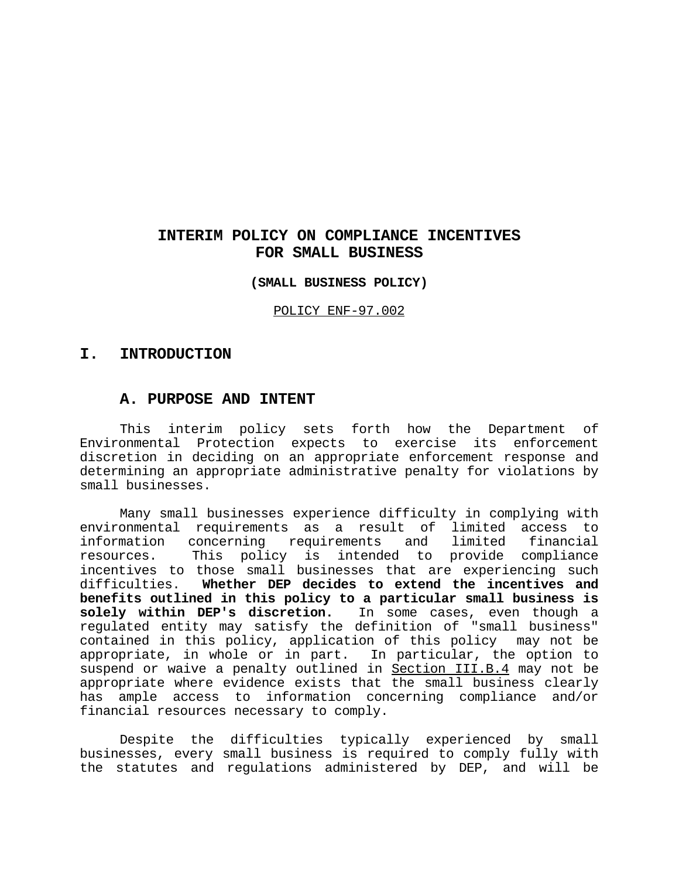# **INTERIM POLICY ON COMPLIANCE INCENTIVES FOR SMALL BUSINESS**

**(SMALL BUSINESS POLICY)**

POLICY ENF-97.002

# **I. INTRODUCTION**

# **A. PURPOSE AND INTENT**

This interim policy sets forth how the Department of Environmental Protection expects to exercise its enforcement discretion in deciding on an appropriate enforcement response and determining an appropriate administrative penalty for violations by small businesses.

Many small businesses experience difficulty in complying with environmental requirements as a result of limited access to information concerning requirements and limited financial resources. This policy is intended to provide compliance incentives to those small businesses that are experiencing such difficulties. **Whether DEP decides to extend the incentives and benefits outlined in this policy to a particular small business is solely within DEP's discretion.** In some cases, even though a regulated entity may satisfy the definition of "small business" contained in this policy, application of this policy may not be appropriate, in whole or in part. In particular, the option to suspend or waive a penalty outlined in Section III.B.4 may not be appropriate where evidence exists that the small business clearly has ample access to information concerning compliance and/or financial resources necessary to comply.

Despite the difficulties typically experienced by small businesses, every small business is required to comply fully with the statutes and regulations administered by DEP, and will be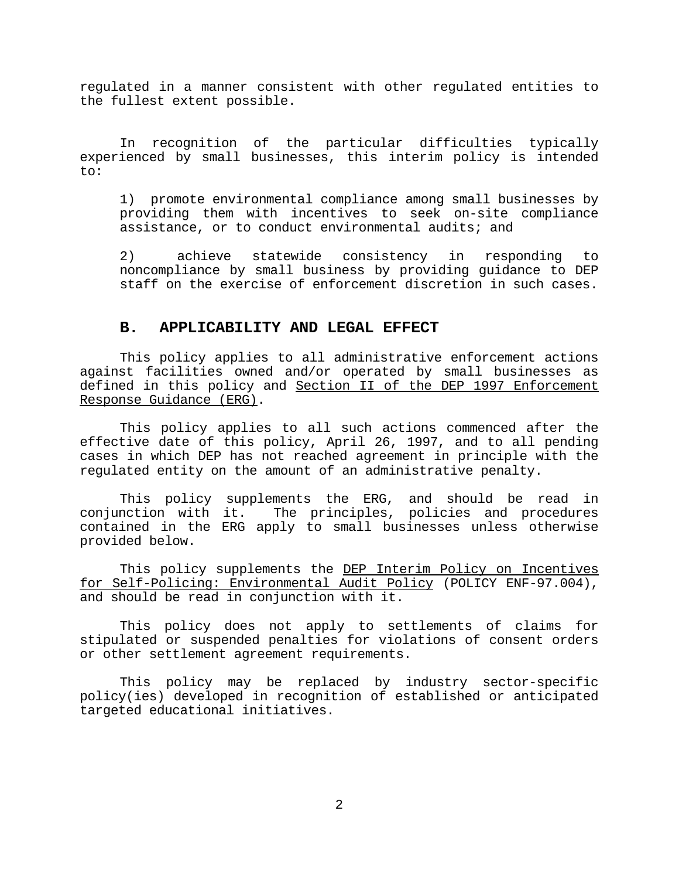regulated in a manner consistent with other regulated entities to the fullest extent possible.

In recognition of the particular difficulties typically experienced by small businesses, this interim policy is intended to:

1) promote environmental compliance among small businesses by providing them with incentives to seek on-site compliance assistance, or to conduct environmental audits; and

2) achieve statewide consistency in responding to noncompliance by small business by providing guidance to DEP staff on the exercise of enforcement discretion in such cases.

## **B. APPLICABILITY AND LEGAL EFFECT**

This policy applies to all administrative enforcement actions against facilities owned and/or operated by small businesses as defined in this policy and Section II of the DEP 1997 Enforcement Response Guidance (ERG).

This policy applies to all such actions commenced after the effective date of this policy, April 26, 1997, and to all pending cases in which DEP has not reached agreement in principle with the regulated entity on the amount of an administrative penalty.

This policy supplements the ERG, and should be read in conjunction with it. The principles, policies and procedures contained in the ERG apply to small businesses unless otherwise provided below.

This policy supplements the DEP Interim Policy on Incentives for Self-Policing: Environmental Audit Policy (POLICY ENF-97.004), and should be read in conjunction with it.

This policy does not apply to settlements of claims for stipulated or suspended penalties for violations of consent orders or other settlement agreement requirements.

This policy may be replaced by industry sector-specific policy(ies) developed in recognition of established or anticipated targeted educational initiatives.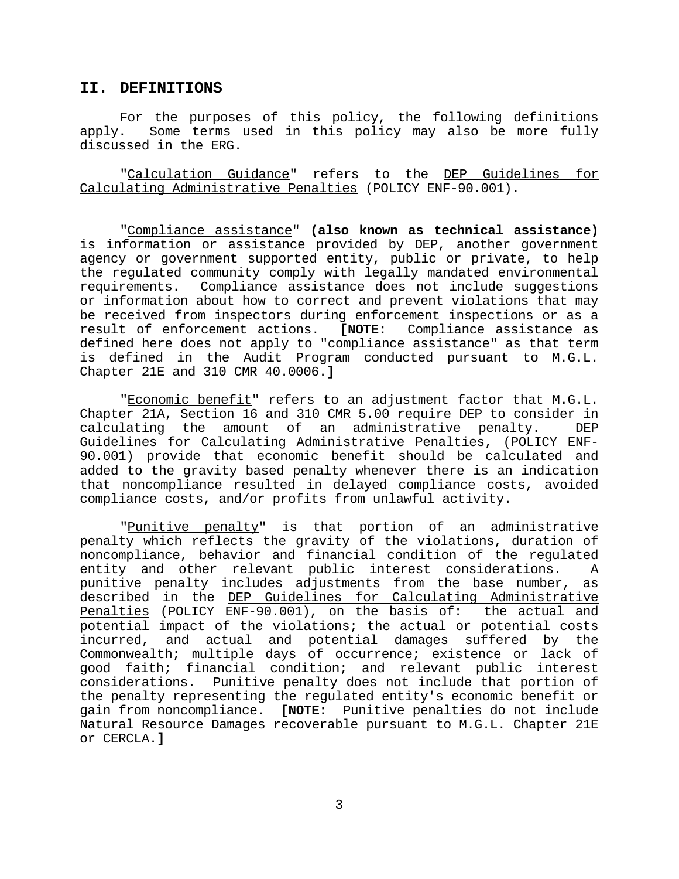### **II. DEFINITIONS**

For the purposes of this policy, the following definitions apply. Some terms used in this policy may also be more fully discussed in the ERG.

"Calculation Guidance" refers to the DEP Guidelines for Calculating Administrative Penalties (POLICY ENF-90.001).

"Compliance assistance" **(also known as technical assistance)** is information or assistance provided by DEP, another government agency or government supported entity, public or private, to help the regulated community comply with legally mandated environmental requirements. Compliance assistance does not include suggestions or information about how to correct and prevent violations that may be received from inspectors during enforcement inspections or as a result of enforcement actions. **[NOTE:** Compliance assistance as defined here does not apply to "compliance assistance" as that term is defined in the Audit Program conducted pursuant to M.G.L. Chapter 21E and 310 CMR 40.0006.**]**

"Economic benefit" refers to an adjustment factor that M.G.L. Chapter 21A, Section 16 and 310 CMR 5.00 require DEP to consider in calculating the amount of an administrative penalty. DEP Guidelines for Calculating Administrative Penalties, (POLICY ENF-90.001) provide that economic benefit should be calculated and added to the gravity based penalty whenever there is an indication that noncompliance resulted in delayed compliance costs, avoided compliance costs, and/or profits from unlawful activity.

"Punitive penalty" is that portion of an administrative penalty which reflects the gravity of the violations, duration of noncompliance, behavior and financial condition of the regulated entity and other relevant public interest considerations. A punitive penalty includes adjustments from the base number, as described in the DEP Guidelines for Calculating Administrative Penalties (POLICY ENF-90.001), on the basis of: the actual and potential impact of the violations; the actual or potential costs incurred, and actual and potential damages suffered by the Commonwealth; multiple days of occurrence; existence or lack of good faith; financial condition; and relevant public interest considerations. Punitive penalty does not include that portion of the penalty representing the regulated entity's economic benefit or gain from noncompliance. **[NOTE:** Punitive penalties do not include Natural Resource Damages recoverable pursuant to M.G.L. Chapter 21E or CERCLA.**]**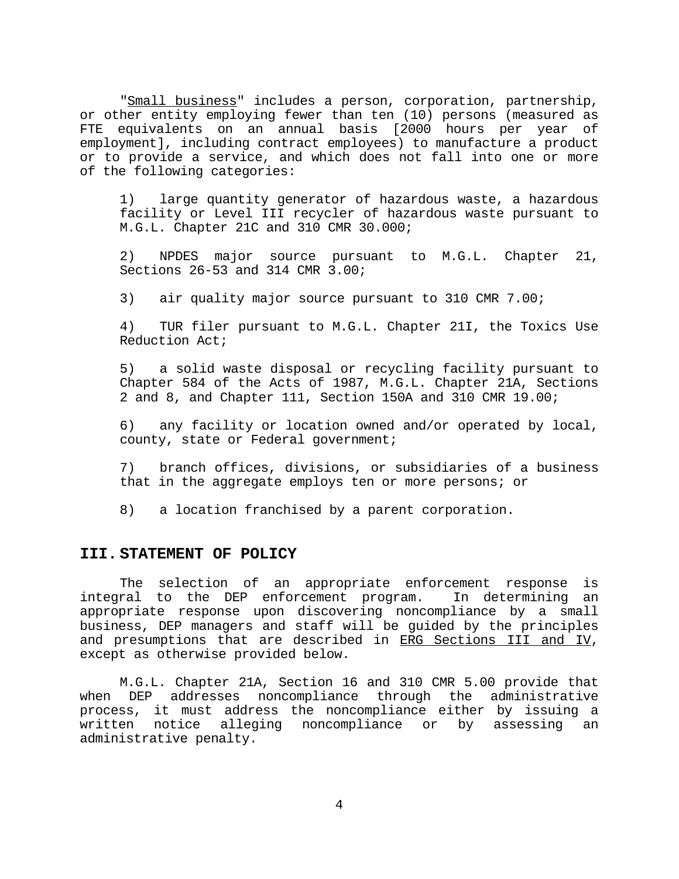"Small business" includes a person, corporation, partnership, or other entity employing fewer than ten (10) persons (measured as FTE equivalents on an annual basis [2000 hours per year of employment], including contract employees) to manufacture a product or to provide a service, and which does not fall into one or more of the following categories:

1) large quantity generator of hazardous waste, a hazardous facility or Level III recycler of hazardous waste pursuant to M.G.L. Chapter 21C and 310 CMR 30.000;

2) NPDES major source pursuant to M.G.L. Chapter 21, Sections 26-53 and 314 CMR 3.00;

3) air quality major source pursuant to 310 CMR 7.00;

4) TUR filer pursuant to M.G.L. Chapter 21I, the Toxics Use Reduction Act;

5) a solid waste disposal or recycling facility pursuant to Chapter 584 of the Acts of 1987, M.G.L. Chapter 21A, Sections 2 and 8, and Chapter 111, Section 150A and 310 CMR 19.00;

6) any facility or location owned and/or operated by local, county, state or Federal government;

7) branch offices, divisions, or subsidiaries of a business that in the aggregate employs ten or more persons; or

8) a location franchised by a parent corporation.

#### **III. STATEMENT OF POLICY**

The selection of an appropriate enforcement response is integral to the DEP enforcement program. In determining an appropriate response upon discovering noncompliance by a small business, DEP managers and staff will be guided by the principles and presumptions that are described in ERG Sections III and IV, except as otherwise provided below.

M.G.L. Chapter 21A, Section 16 and 310 CMR 5.00 provide that when DEP addresses noncompliance through the administrative process, it must address the noncompliance either by issuing a written notice alleging noncompliance or by assessing an administrative penalty.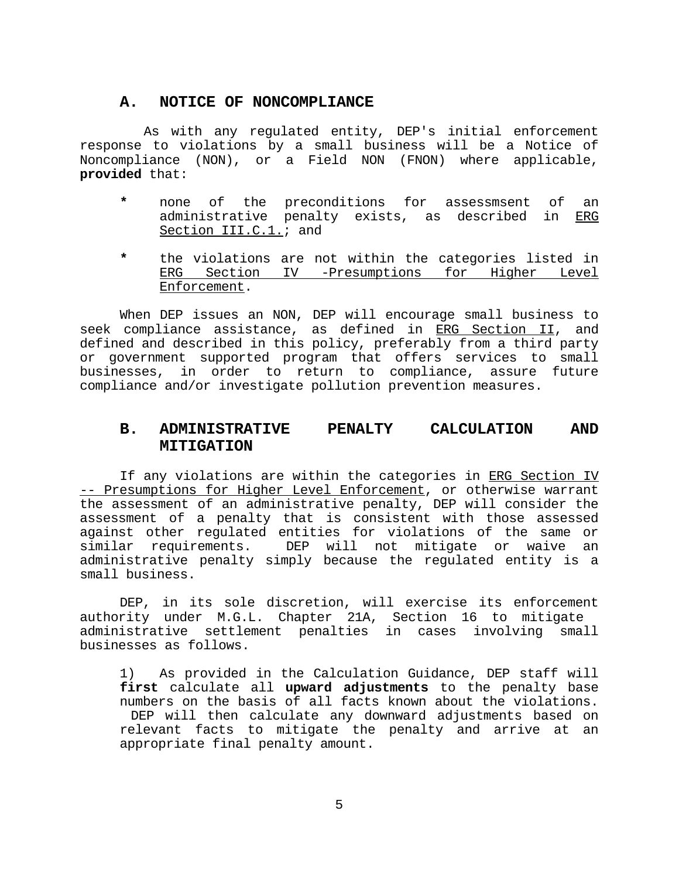### **A. NOTICE OF NONCOMPLIANCE**

 As with any regulated entity, DEP's initial enforcement response to violations by a small business will be a Notice of Noncompliance (NON), or a Field NON (FNON) where applicable, **provided** that:

- **\*** none of the preconditions for assessmsent of an administrative penalty exists, as described in ERG Section III.C.1.; and
- **\*** the violations are not within the categories listed in ERG Section IV -Presumptions for Higher Level Enforcement.

When DEP issues an NON, DEP will encourage small business to seek compliance assistance, as defined in ERG Section II, and defined and described in this policy, preferably from a third party or government supported program that offers services to small businesses, in order to return to compliance, assure future compliance and/or investigate pollution prevention measures.

# **B. ADMINISTRATIVE PENALTY CALCULATION AND MITIGATION**

If any violations are within the categories in ERG Section IV -- Presumptions for Higher Level Enforcement, or otherwise warrant the assessment of an administrative penalty, DEP will consider the assessment of a penalty that is consistent with those assessed against other regulated entities for violations of the same or similar requirements. DEP will not mitigate or waive an administrative penalty simply because the regulated entity is a small business.

DEP, in its sole discretion, will exercise its enforcement authority under M.G.L. Chapter 21A, Section 16 to mitigate administrative settlement penalties in cases involving small businesses as follows.

1) As provided in the Calculation Guidance, DEP staff will **first** calculate all **upward adjustments** to the penalty base numbers on the basis of all facts known about the violations. DEP will then calculate any downward adjustments based on relevant facts to mitigate the penalty and arrive at an appropriate final penalty amount.

5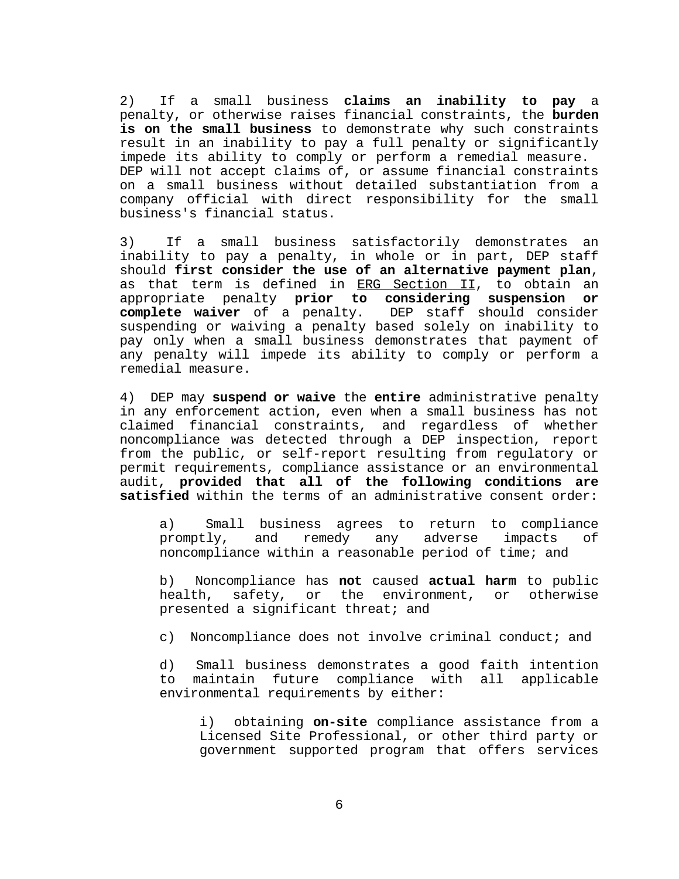2) If a small business **claims an inability to pay** a penalty, or otherwise raises financial constraints, the **burden is on the small business** to demonstrate why such constraints result in an inability to pay a full penalty or significantly impede its ability to comply or perform a remedial measure. DEP will not accept claims of, or assume financial constraints on a small business without detailed substantiation from a company official with direct responsibility for the small business's financial status.

3) If a small business satisfactorily demonstrates an inability to pay a penalty, in whole or in part, DEP staff should **first consider the use of an alternative payment plan**, as that term is defined in ERG Section II, to obtain an appropriate penalty **prior to considering suspension or complete waiver** of a penalty. DEP staff should consider suspending or waiving a penalty based solely on inability to pay only when a small business demonstrates that payment of any penalty will impede its ability to comply or perform a remedial measure.

4) DEP may **suspend or waive** the **entire** administrative penalty in any enforcement action, even when a small business has not claimed financial constraints, and regardless of whether noncompliance was detected through a DEP inspection, report from the public, or self-report resulting from regulatory or permit requirements, compliance assistance or an environmental audit, **provided that all of the following conditions are satisfied** within the terms of an administrative consent order:

a) Small business agrees to return to compliance promptly, and remedy any adverse impacts of noncompliance within a reasonable period of time; and

b) Noncompliance has **not** caused **actual harm** to public health, safety, or the environment, or otherwise presented a significant threat; and

c) Noncompliance does not involve criminal conduct; and

d) Small business demonstrates a good faith intention to maintain future compliance with all applicable environmental requirements by either:

i) obtaining **on-site** compliance assistance from a Licensed Site Professional, or other third party or government supported program that offers services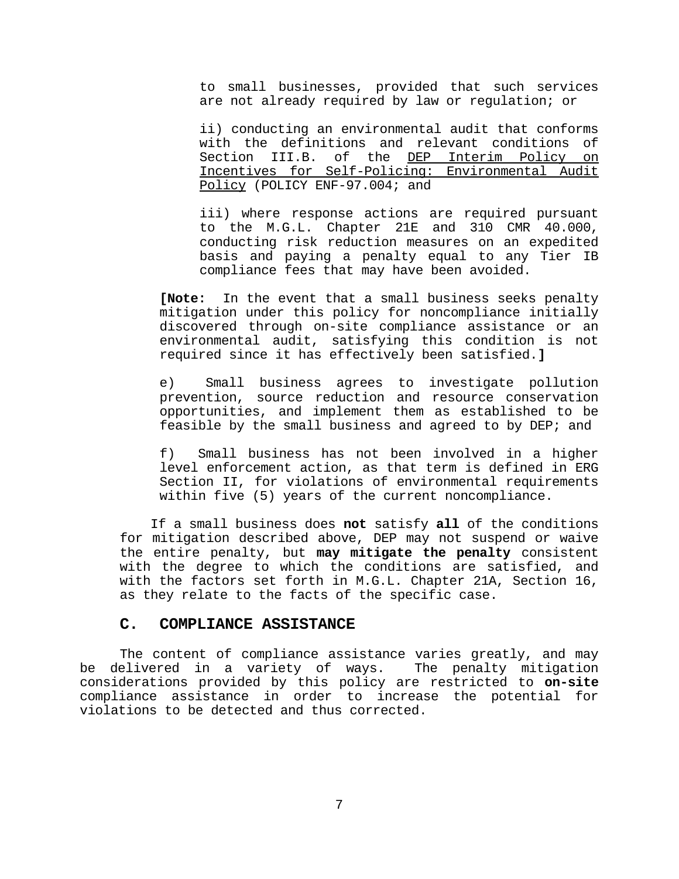to small businesses, provided that such services are not already required by law or regulation; or

ii) conducting an environmental audit that conforms with the definitions and relevant conditions of Section III.B. of the DEP Interim Policy on Incentives for Self-Policing: Environmental Audit Policy (POLICY ENF-97.004; and

iii) where response actions are required pursuant to the M.G.L. Chapter 21E and 310 CMR 40.000, conducting risk reduction measures on an expedited basis and paying a penalty equal to any Tier IB compliance fees that may have been avoided.

**[Note:** In the event that a small business seeks penalty mitigation under this policy for noncompliance initially discovered through on-site compliance assistance or an environmental audit, satisfying this condition is not required since it has effectively been satisfied.**]**

e) Small business agrees to investigate pollution prevention, source reduction and resource conservation opportunities, and implement them as established to be feasible by the small business and agreed to by DEP; and

f) Small business has not been involved in a higher level enforcement action, as that term is defined in ERG Section II, for violations of environmental requirements within five (5) years of the current noncompliance.

 If a small business does **not** satisfy **all** of the conditions for mitigation described above, DEP may not suspend or waive the entire penalty, but **may mitigate the penalty** consistent with the degree to which the conditions are satisfied, and with the factors set forth in M.G.L. Chapter 21A, Section 16, as they relate to the facts of the specific case.

### **C. COMPLIANCE ASSISTANCE**

The content of compliance assistance varies greatly, and may be delivered in a variety of ways. The penalty mitigation considerations provided by this policy are restricted to **on-site** compliance assistance in order to increase the potential for violations to be detected and thus corrected.